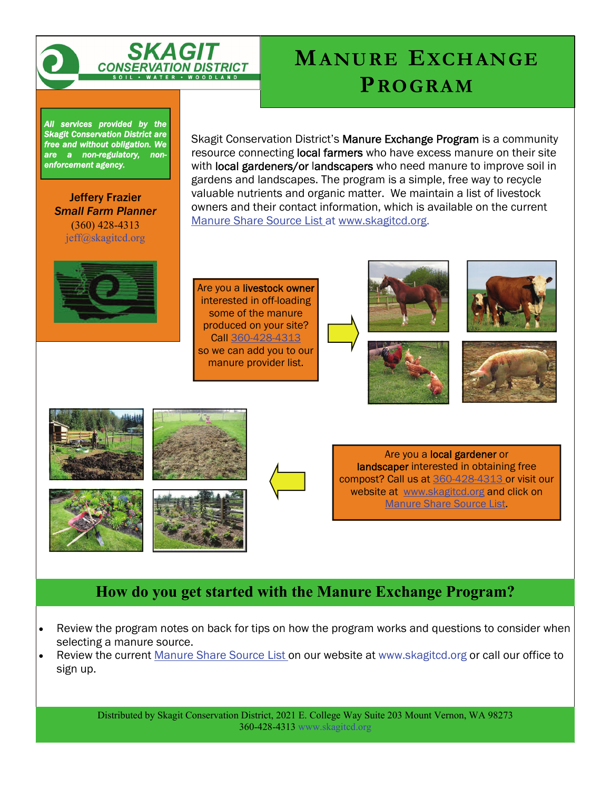

# **MANURE EXCHANGE PROGRAM**

*All services provided by the Skagit Conservation District are free and without obligation. We are a non-regulatory, nonenforcement agency.* 

Jeffery Frazier *Small Farm Planner*  (360) 428-4313 jeff@skagitcd.org

Skagit Conservation District's Manure Exchange Program is a community resource connecting **local farmers** who have excess manure on their site with local gardeners/or landscapers who need manure to improve soil in gardens and landscapes. The program is a simple, free way to recycle valuable nutrients and organic matter. We maintain a list of livestock owners and their contact information, which is available on the current Manure Share Source List at www.skagitcd.org.

Are you a livestock owner interested in off-loading some of the manure produced on your site? Call 360-428-4313 so we can add you to our manure provider list.















Are you a local gardener or landscaper interested in obtaining free compost? Call us at 360-428-4313 or visit our website at www.skagitcd.org and click on Manure Share Source List.

## **How do you get started with the Manure Exchange Program?**

- Review the program notes on back for tips on how the program works and questions to consider when selecting a manure source.
- Review the current Manure Share Source List on our website at www.skagitcd.org or call our office to sign up.

Distributed by Skagit Conservation District, 2021 E. College Way Suite 203 Mount Vernon, WA 98273 360-428-4313 www.skagitcd.org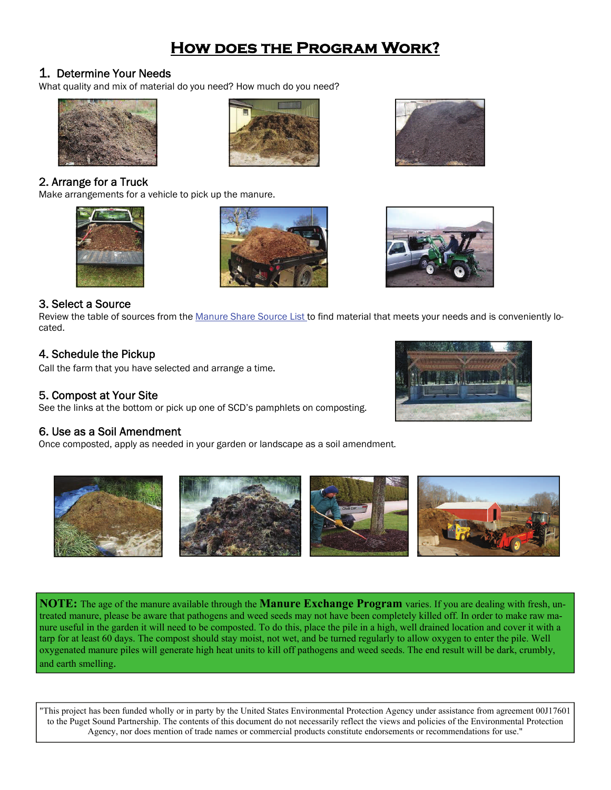## **How does the Program Work?**

1. Determine Your Needs<br>What quality and mix of material do you need? How much do you need?



#### 2. Arrange for a Truck

Make arrangements for a vehicle to pick up the manure.









#### 3. Select a Source

Review the table of sources from the Manure Share Source List to find material that meets your needs and is conveniently located.

#### 4. Schedule the Pickup

Call the farm that you have selected and arrange a time.

#### 5. Compost at Your Site

See the links at the bottom or pick up one of SCD's pamphlets on composting.

#### 6. Use as a Soil Amendment

Once composted, apply as needed in your garden or landscape as a soil amendment.





**NOTE:** The age of the manure available through the **Manure Exchange Program** varies. If you are dealing with fresh, untreated manure, please be aware that pathogens and weed seeds may not have been completely killed off. In order to make raw manure useful in the garden it will need to be composted. To do this, place the pile in a high, well drained location and cover it with a tarp for at least 60 days. The compost should stay moist, not wet, and be turned regularly to allow oxygen to enter the pile. Well oxygenated manure piles will generate high heat units to kill off pathogens and weed seeds. The end result will be dark, crumbly, and earth smelling.

"This project has been funded wholly or in party by the United States Environmental Protection Agency under assistance from agreement 00J17601 to the Puget Sound Partnership. The contents of this document do not necessarily reflect the views and policies of the Environmental Protection Agency, nor does mention of trade names or commercial products constitute endorsements or recommendations for use."